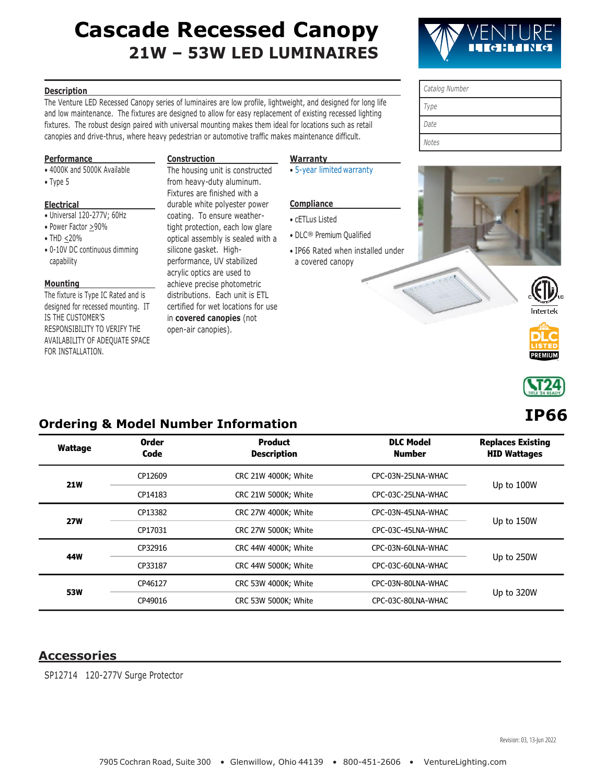# **Cascade Recessed Canopy 21W – 53W LED LUMINAIRES**

*Catalog Number*

*Type Date*

### **Description**

The Venture LED Recessed Canopy series of luminaires are low profile, lightweight, and designed for long life and low maintenance. The fixtures are designed to allow for easy replacement of existing recessed lighting fixtures. The robust design paired with universal mounting makes them ideal for locations such as retail canopies and drive-thrus, where heavy pedestrian or automotive traffic makes maintenance difficult.

### **Performance**

- 4000K and 5000K Available
- Type 5

### **Electrical**

- Universal 120-277V; 60Hz
- Power Factor >90%
- THD <20%
- 0-10V DC continuous dimming capability

### **Mounting**

The fixture is Type IC Rated and is designed for recessed mounting. IT IS THE CUSTOMER'S RESPONSIBILITY TO VERIFY THE AVAILABILITY OF ADEQUATE SPACE FOR INSTALLATION.

### **Construction**

The housing unit is constructed from heavy-duty aluminum. Fixtures are finished with a durable white polyester power coating. To ensure weathertight protection, each low glare optical assembly is sealed with a silicone gasket. Highperformance, UV stabilized acrylic optics are used to achieve precise photometric distributions. Each unit is ETL certified for wet locations for use in **covered canopies** (not open-air canopies).

### **Warranty**

• [5-year limited](https://www.venturelighting.com/resources/warranties/led-fixtures/) warranty

### **Compliance**

- cETLus Listed
- DLC® Premium Qualified
- IP66 Rated when installed under a covered canopy





Intertel





# **IP66**

## **Ordering & Model Number Information**

| <b>Wattage</b> | <b>Order</b><br>Code | <b>Product</b><br><b>Description</b>       | <b>DLC Model</b><br><b>Number</b> | <b>Replaces Existing</b><br><b>HID Wattages</b> |  |
|----------------|----------------------|--------------------------------------------|-----------------------------------|-------------------------------------------------|--|
| <b>21W</b>     | CP12609              | CRC 21W 4000K; White                       | CPC-03N-25LNA-WHAC                |                                                 |  |
|                | CP14183              | CRC 21W 5000K; White                       | CPC-03C-25LNA-WHAC                | Up to 100W                                      |  |
| <b>27W</b>     | CP13382              | CRC 27W 4000K; White<br>CPC-03N-45LNA-WHAC |                                   |                                                 |  |
|                | CP17031              | CRC 27W 5000K; White                       | CPC-03C-45LNA-WHAC                | Up to 150W                                      |  |
| 44W            | CP32916              | CRC 44W 4000K; White                       | CPC-03N-60LNA-WHAC                |                                                 |  |
|                | CP33187              | CRC 44W 5000K; White                       | CPC-03C-60LNA-WHAC                | Up to 250W                                      |  |
| <b>53W</b>     | CP46127              | CRC 53W 4000K; White                       | CPC-03N-80LNA-WHAC                | Up to 320W                                      |  |
|                | CP49016              | CRC 53W 5000K; White                       | CPC-03C-80LNA-WHAC                |                                                 |  |

### **Accessories**

SP12714 120-277V Surge Protector